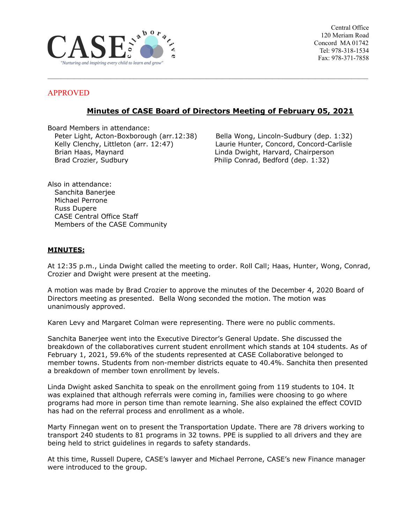

Central Office 120 Meriam Road Concord MA 01742 Tel: 978-318-1534 Fax: 978-371-7858

### APPROVED

# **Minutes of CASE Board of Directors Meeting of February 05, 2021**

 $\mathcal{L}_\mathcal{L} = \{ \mathcal{L}_\mathcal{L} = \{ \mathcal{L}_\mathcal{L} = \{ \mathcal{L}_\mathcal{L} = \{ \mathcal{L}_\mathcal{L} = \{ \mathcal{L}_\mathcal{L} = \{ \mathcal{L}_\mathcal{L} = \{ \mathcal{L}_\mathcal{L} = \{ \mathcal{L}_\mathcal{L} = \{ \mathcal{L}_\mathcal{L} = \{ \mathcal{L}_\mathcal{L} = \{ \mathcal{L}_\mathcal{L} = \{ \mathcal{L}_\mathcal{L} = \{ \mathcal{L}_\mathcal{L} = \{ \mathcal{L}_\mathcal{$ 

Board Members in attendance: Peter Light, Acton-Boxborough (arr.12:38) Bella Wong, Lincoln-Sudbury (dep. 1:32) Kelly Clenchy, Littleton (arr. 12:47) Laurie Hunter, Concord, Concord-Carlisle Brian Haas, Maynard Linda Dwight, Harvard, Chairperson Brad Crozier, Sudbury **Philip Conrad, Bedford (dep. 1:32)** 

Also in attendance: Sanchita Banerjee Michael Perrone Russ Dupere CASE Central Office Staff Members of the CASE Community

#### **MINUTES:**

At 12:35 p.m., Linda Dwight called the meeting to order. Roll Call; Haas, Hunter, Wong, Conrad, Crozier and Dwight were present at the meeting.

A motion was made by Brad Crozier to approve the minutes of the December 4, 2020 Board of Directors meeting as presented. Bella Wong seconded the motion. The motion was unanimously approved.

Karen Levy and Margaret Colman were representing. There were no public comments.

Sanchita Banerjee went into the Executive Director's General Update. She discussed the breakdown of the collaboratives current student enrollment which stands at 104 students. As of February 1, 2021, 59.6% of the students represented at CASE Collaborative belonged to member towns. Students from non-member districts equate to 40.4%. Sanchita then presented a breakdown of member town enrollment by levels.

Linda Dwight asked Sanchita to speak on the enrollment going from 119 students to 104. It was explained that although referrals were coming in, families were choosing to go where programs had more in person time than remote learning. She also explained the effect COVID has had on the referral process and enrollment as a whole.

Marty Finnegan went on to present the Transportation Update. There are 78 drivers working to transport 240 students to 81 programs in 32 towns. PPE is supplied to all drivers and they are being held to strict guidelines in regards to safety standards.

At this time, Russell Dupere, CASE's lawyer and Michael Perrone, CASE's new Finance manager were introduced to the group.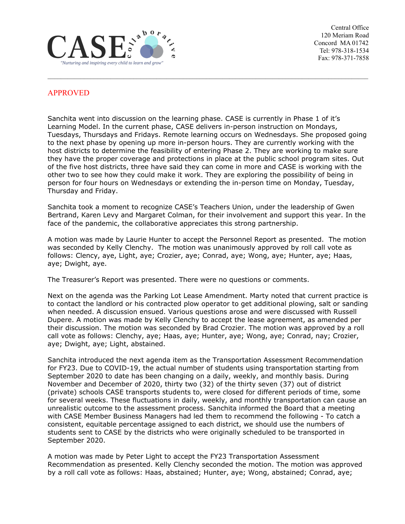

Central Office 120 Meriam Road Concord MA 01742 Tel: 978-318-1534 Fax: 978-371-7858

## APPROVED

Sanchita went into discussion on the learning phase. CASE is currently in Phase 1 of it's Learning Model. In the current phase, CASE delivers in-person instruction on Mondays, Tuesdays, Thursdays and Fridays. Remote learning occurs on Wednesdays. She proposed going to the next phase by opening up more in-person hours. They are currently working with the host districts to determine the feasibility of entering Phase 2. They are working to make sure they have the proper coverage and protections in place at the public school program sites. Out of the five host districts, three have said they can come in more and CASE is working with the other two to see how they could make it work. They are exploring the possibility of being in person for four hours on Wednesdays or extending the in-person time on Monday, Tuesday, Thursday and Friday.

 $\mathcal{L}_\mathcal{L} = \{ \mathcal{L}_\mathcal{L} = \{ \mathcal{L}_\mathcal{L} = \{ \mathcal{L}_\mathcal{L} = \{ \mathcal{L}_\mathcal{L} = \{ \mathcal{L}_\mathcal{L} = \{ \mathcal{L}_\mathcal{L} = \{ \mathcal{L}_\mathcal{L} = \{ \mathcal{L}_\mathcal{L} = \{ \mathcal{L}_\mathcal{L} = \{ \mathcal{L}_\mathcal{L} = \{ \mathcal{L}_\mathcal{L} = \{ \mathcal{L}_\mathcal{L} = \{ \mathcal{L}_\mathcal{L} = \{ \mathcal{L}_\mathcal{$ 

Sanchita took a moment to recognize CASE's Teachers Union, under the leadership of Gwen Bertrand, Karen Levy and Margaret Colman, for their involvement and support this year. In the face of the pandemic, the collaborative appreciates this strong partnership.

A motion was made by Laurie Hunter to accept the Personnel Report as presented. The motion was seconded by Kelly Clenchy. The motion was unanimously approved by roll call vote as follows: Clency, aye, Light, aye; Crozier, aye; Conrad, aye; Wong, aye; Hunter, aye; Haas, aye; Dwight, aye.

The Treasurer's Report was presented. There were no questions or comments.

Next on the agenda was the Parking Lot Lease Amendment. Marty noted that current practice is to contact the landlord or his contracted plow operator to get additional plowing, salt or sanding when needed. A discussion ensued. Various questions arose and were discussed with Russell Dupere. A motion was made by Kelly Clenchy to accept the lease agreement, as amended per their discussion. The motion was seconded by Brad Crozier. The motion was approved by a roll call vote as follows: Clenchy, aye; Haas, aye; Hunter, aye; Wong, aye; Conrad, nay; Crozier, aye; Dwight, aye; Light, abstained.

Sanchita introduced the next agenda item as the Transportation Assessment Recommendation for FY23. Due to COVID-19, the actual number of students using transportation starting from September 2020 to date has been changing on a daily, weekly, and monthly basis. During November and December of 2020, thirty two (32) of the thirty seven (37) out of district (private) schools CASE transports students to, were closed for different periods of time, some for several weeks. These fluctuations in daily, weekly, and monthly transportation can cause an unrealistic outcome to the assessment process. Sanchita informed the Board that a meeting with CASE Member Business Managers had led them to recommend the following - To catch a consistent, equitable percentage assigned to each district, we should use the numbers of students sent to CASE by the districts who were originally scheduled to be transported in September 2020.

A motion was made by Peter Light to accept the FY23 Transportation Assessment Recommendation as presented. Kelly Clenchy seconded the motion. The motion was approved by a roll call vote as follows: Haas, abstained; Hunter, aye; Wong, abstained; Conrad, aye;